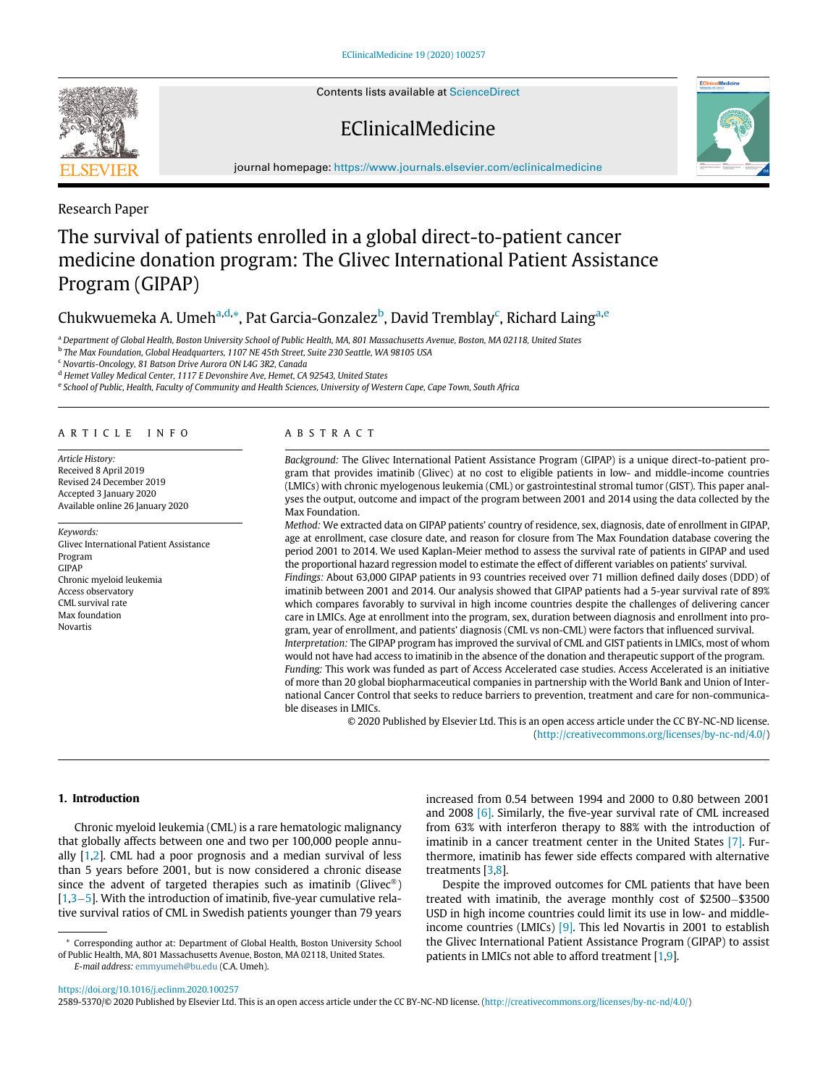Contents lists available at [ScienceDirect](http://www.ScienceDirect.com)

# EClinicalMedicine



journal homepage: [https://www.journals.elsevier.com/eclinicalmedicine](http://https://www.journals.elsevier.com/eclinicalmedicine)

# Research Paper

# The survival of patients enrolled in a global direct-to-patient cancer medicine donation program: The Glivec International Patient Assistance Program (GIPAP)

# Chukwuemeka A. Umeh<sup>[a,](#page-0-0)[d](#page-0-1),</sup>[\\*,](#page-0-2) Pat Garcia-Gonzalez<sup>[b](#page-0-3)</sup>, David Tremblay<sup>[c](#page-0-4)</sup>, Rich[a](#page-0-0)rd Laing<sup>a[,e](#page-0-5)</sup>

<sup>a</sup> Department of Global Health, Boston University School of Public Health, MA, 801 Massachusetts Avenue, Boston, MA 02118, United States

<span id="page-0-3"></span><span id="page-0-0"></span><sup>b</sup> The Max Foundation, Global Headquarters, 1107 NE 45th Street, Suite 230 Seattle, WA 98105 USA

<span id="page-0-4"></span><sup>c</sup> Novartis-Oncology, 81 Batson Drive Aurora ON L4G 3R2, Canada

<span id="page-0-1"></span><sup>d</sup> Hemet Valley Medical Center, 1117 E Devonshire Ave, Hemet, CA 92543, United States

<span id="page-0-5"></span>e School of Public, Health, Faculty of Community and Health Sciences, University of Western Cape, Cape Town, South Africa

#### ARTICLE INFO

Article History: Received 8 April 2019 Revised 24 December 2019 Accepted 3 January 2020 Available online 26 January 2020

Keywords: Glivec International Patient Assistance Program GIPAP Chronic myeloid leukemia Access observatory CML survival rate Max foundation Novartis

#### ABSTRACT

Background: The Glivec International Patient Assistance Program (GIPAP) is a unique direct-to-patient program that provides imatinib (Glivec) at no cost to eligible patients in low- and middle-income countries (LMICs) with chronic myelogenous leukemia (CML) or gastrointestinal stromal tumor (GIST). This paper analyses the output, outcome and impact of the program between 2001 and 2014 using the data collected by the Max Foundation.

Method: We extracted data on GIPAP patients' country of residence, sex, diagnosis, date of enrollment in GIPAP, age at enrollment, case closure date, and reason for closure from The Max Foundation database covering the period 2001 to 2014. We used Kaplan-Meier method to assess the survival rate of patients in GIPAP and used the proportional hazard regression model to estimate the effect of different variables on patients' survival. Findings: About 63,000 GIPAP patients in 93 countries received over 71 million defined daily doses (DDD) of imatinib between 2001 and 2014. Our analysis showed that GIPAP patients had a 5-year survival rate of 89% which compares favorably to survival in high income countries despite the challenges of delivering cancer care in LMICs. Age at enrollment into the program, sex, duration between diagnosis and enrollment into program, year of enrollment, and patients' diagnosis (CML vs non-CML) were factors that influenced survival. Interpretation: The GIPAP program has improved the survival of CML and GIST patients in LMICs, most of whom would not have had access to imatinib in the absence of the donation and therapeutic support of the program. Funding: This work was funded as part of Access Accelerated case studies. Access Accelerated is an initiative of more than 20 global biopharmaceutical companies in partnership with the World Bank and Union of International Cancer Control that seeks to reduce barriers to prevention, treatment and care for non-communicable diseases in LMICs.

> © 2020 Published by Elsevier Ltd. This is an open access article under the CC BY-NC-ND license. ([http://creativecommons.org/licenses/by-nc-nd/4.0/\)](http://creativecommons.org/licenses/by-nc-nd/4.0/)

#### 1. Introduction

Chronic myeloid leukemia (CML) is a rare hematologic malignancy that globally affects between one and two per 100,000 people annually [[1](#page-6-0)[,2\]](#page-6-1). CML had a poor prognosis and a median survival of less than 5 years before 2001, but is now considered a chronic disease since the advent of targeted therapies such as imatinib (Glivec<sup>®</sup>)  $[1,3-5]$  $[1,3-5]$  $[1,3-5]$  $[1,3-5]$  $[1,3-5]$ . With the introduction of imatinib, five-year cumulative relative survival ratios of CML in Swedish patients younger than 79 years

increased from 0.54 between 1994 and 2000 to 0.80 between 2001 and 2008 [\[6\]](#page-6-4). Similarly, the five-year survival rate of CML increased from 63% with interferon therapy to 88% with the introduction of imatinib in a cancer treatment center in the United States [\[7\]](#page-6-5). Furthermore, imatinib has fewer side effects compared with alternative treatments [\[3,](#page-6-2)[8](#page-6-6)].

Despite the improved outcomes for CML patients that have been treated with imatinib, the average monthly cost of  $$2500-$3500$ USD in high income countries could limit its use in low- and middleincome countries (LMICs)  $[9]$ . This led Novartis in 2001 to establish the Glivec International Patient Assistance Program (GIPAP) to assist patients in LMICs not able to afford treatment [[1](#page-6-0)[,9\]](#page-6-7).

<https://doi.org/10.1016/j.eclinm.2020.100257>

2589-5370/© 2020 Published by Elsevier Ltd. This is an open access article under the CC BY-NC-ND license. (<http://creativecommons.org/licenses/by-nc-nd/4.0/>)



<span id="page-0-2"></span><sup>\*</sup> Corresponding author at: Department of Global Health, Boston University School of Public Health, MA, 801 Massachusetts Avenue, Boston, MA 02118, United States. E-mail address: [emmyumeh@bu.edu](mailto:emmyumeh@bu.edu) (C.A. Umeh).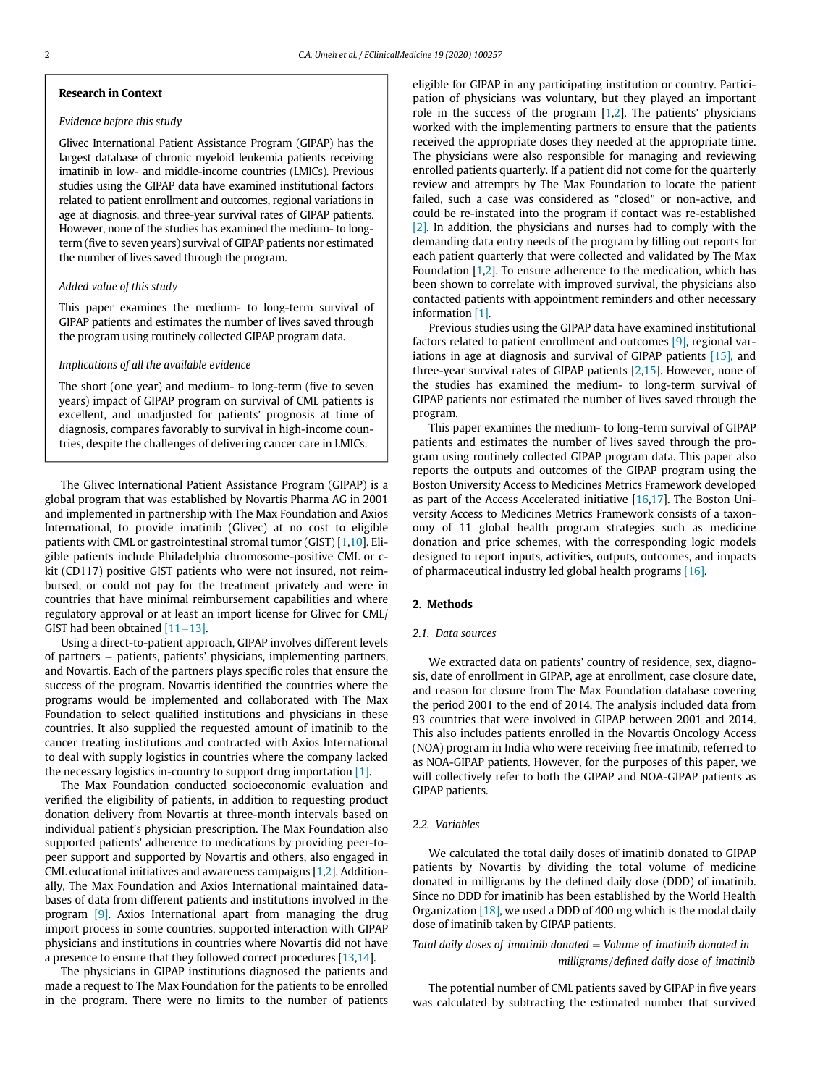#### Research in Context

# Evidence before this study

Glivec International Patient Assistance Program (GIPAP) has the largest database of chronic myeloid leukemia patients receiving imatinib in low- and middle-income countries (LMICs). Previous studies using the GIPAP data have examined institutional factors related to patient enrollment and outcomes, regional variations in age at diagnosis, and three-year survival rates of GIPAP patients. However, none of the studies has examined the medium- to longterm (five to seven years) survival of GIPAP patients nor estimated the number of lives saved through the program.

# Added value of this study

This paper examines the medium- to long-term survival of GIPAP patients and estimates the number of lives saved through the program using routinely collected GIPAP program data.

#### Implications of all the available evidence

The short (one year) and medium- to long-term (five to seven years) impact of GIPAP program on survival of CML patients is excellent, and unadjusted for patients' prognosis at time of diagnosis, compares favorably to survival in high-income countries, despite the challenges of delivering cancer care in LMICs.

The Glivec International Patient Assistance Program (GIPAP) is a global program that was established by Novartis Pharma AG in 2001 and implemented in partnership with The Max Foundation and Axios International, to provide imatinib (Glivec) at no cost to eligible patients with CML or gastrointestinal stromal tumor (GIST) [\[1,](#page-6-0)[10\]](#page-6-8). Eligible patients include Philadelphia chromosome-positive CML or ckit (CD117) positive GIST patients who were not insured, not reimbursed, or could not pay for the treatment privately and were in countries that have minimal reimbursement capabilities and where regulatory approval or at least an import license for Glivec for CML/ GIST had been obtained  $[11-13]$  $[11-13]$  $[11-13]$ .

Using a direct-to-patient approach, GIPAP involves different levels of partners  $-$  patients, patients' physicians, implementing partners, and Novartis. Each of the partners plays specific roles that ensure the success of the program. Novartis identified the countries where the programs would be implemented and collaborated with The Max Foundation to select qualified institutions and physicians in these countries. It also supplied the requested amount of imatinib to the cancer treating institutions and contracted with Axios International to deal with supply logistics in countries where the company lacked the necessary logistics in-country to support drug importation [\[1\].](#page-6-0)

The Max Foundation conducted socioeconomic evaluation and verified the eligibility of patients, in addition to requesting product donation delivery from Novartis at three-month intervals based on individual patient's physician prescription. The Max Foundation also supported patients' adherence to medications by providing peer-topeer support and supported by Novartis and others, also engaged in CML educational initiatives and awareness campaigns [[1](#page-6-0),[2\]](#page-6-1). Additionally, The Max Foundation and Axios International maintained databases of data from different patients and institutions involved in the program [\[9\]](#page-6-7). Axios International apart from managing the drug import process in some countries, supported interaction with GIPAP physicians and institutions in countries where Novartis did not have a presence to ensure that they followed correct procedures [\[13](#page-6-10)[,14](#page-6-11)].

The physicians in GIPAP institutions diagnosed the patients and made a request to The Max Foundation for the patients to be enrolled in the program. There were no limits to the number of patients eligible for GIPAP in any participating institution or country. Participation of physicians was voluntary, but they played an important role in the success of the program  $[1,2]$  $[1,2]$  $[1,2]$  $[1,2]$ . The patients' physicians worked with the implementing partners to ensure that the patients received the appropriate doses they needed at the appropriate time. The physicians were also responsible for managing and reviewing enrolled patients quarterly. If a patient did not come for the quarterly review and attempts by The Max Foundation to locate the patient failed, such a case was considered as "closed" or non-active, and could be re-instated into the program if contact was re-established [\[2\].](#page-6-1) In addition, the physicians and nurses had to comply with the demanding data entry needs of the program by filling out reports for each patient quarterly that were collected and validated by The Max Foundation [\[1](#page-6-0),[2](#page-6-1)]. To ensure adherence to the medication, which has been shown to correlate with improved survival, the physicians also contacted patients with appointment reminders and other necessary information [\[1\]](#page-6-0).

Previous studies using the GIPAP data have examined institutional factors related to patient enrollment and outcomes [\[9\],](#page-6-7) regional variations in age at diagnosis and survival of GIPAP patients [\[15\]](#page-6-12), and three-year survival rates of GIPAP patients [\[2,](#page-6-1)[15\]](#page-6-12). However, none of the studies has examined the medium- to long-term survival of GIPAP patients nor estimated the number of lives saved through the program.

This paper examines the medium- to long-term survival of GIPAP patients and estimates the number of lives saved through the program using routinely collected GIPAP program data. This paper also reports the outputs and outcomes of the GIPAP program using the Boston University Access to Medicines Metrics Framework developed as part of the Access Accelerated initiative  $[16,17]$  $[16,17]$  $[16,17]$  $[16,17]$  $[16,17]$ . The Boston University Access to Medicines Metrics Framework consists of a taxonomy of 11 global health program strategies such as medicine donation and price schemes, with the corresponding logic models designed to report inputs, activities, outputs, outcomes, and impacts of pharmaceutical industry led global health programs [\[16\].](#page-6-13)

# 2. Methods

#### 2.1. Data sources

We extracted data on patients' country of residence, sex, diagnosis, date of enrollment in GIPAP, age at enrollment, case closure date, and reason for closure from The Max Foundation database covering the period 2001 to the end of 2014. The analysis included data from 93 countries that were involved in GIPAP between 2001 and 2014. This also includes patients enrolled in the Novartis Oncology Access (NOA) program in India who were receiving free imatinib, referred to as NOA-GIPAP patients. However, for the purposes of this paper, we will collectively refer to both the GIPAP and NOA-GIPAP patients as GIPAP patients.

#### 2.2. Variables

We calculated the total daily doses of imatinib donated to GIPAP patients by Novartis by dividing the total volume of medicine donated in milligrams by the defined daily dose (DDD) of imatinib. Since no DDD for imatinib has been established by the World Health Organization  $[18]$ , we used a DDD of 400 mg which is the modal daily dose of imatinib taken by GIPAP patients.

Total daily doses of imatinib donated  $=$  Volume of imatinib donated in milligrams/defined daily dose of imatinib

The potential number of CML patients saved by GIPAP in five years was calculated by subtracting the estimated number that survived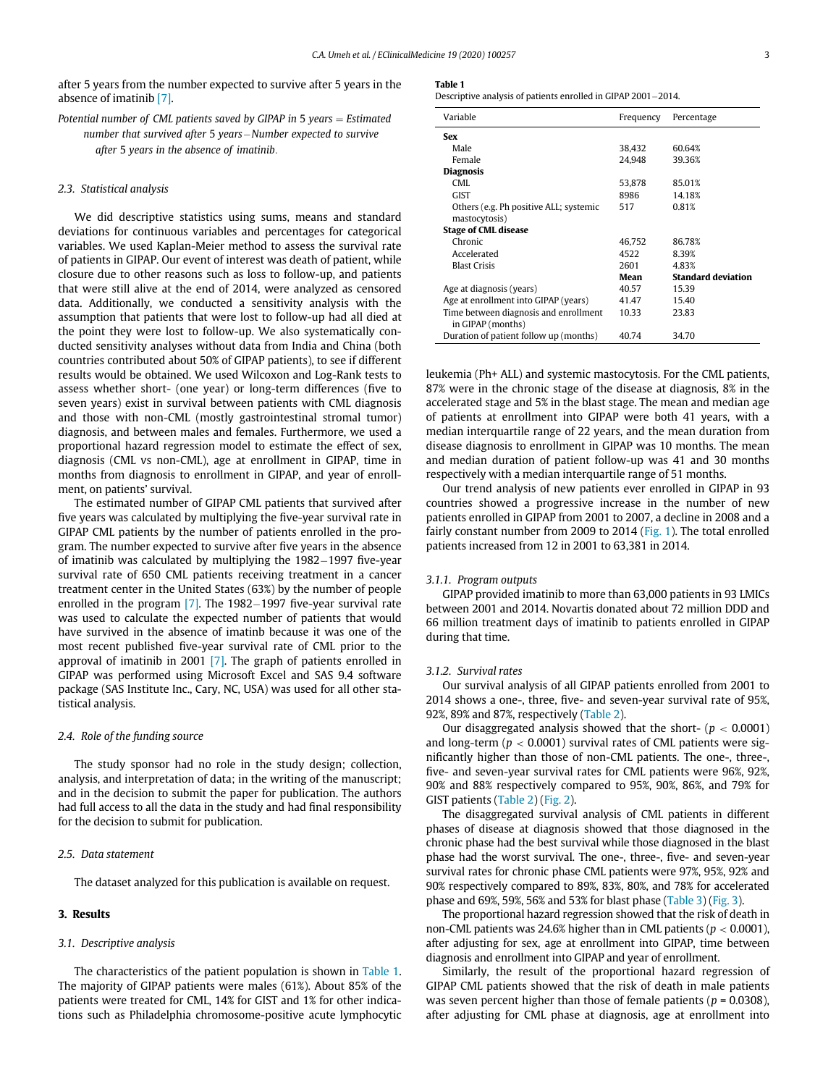<span id="page-2-0"></span>after 5 years from the number expected to survive after 5 years in the absence of imatinib [\[7\]](#page-6-5).

Potential number of CML patients saved by GIPAP in 5 years  $=$  Estimated number that survived after 5 years-Number expected to survive after 5 years in the absence of imatinib:

#### 2.3. Statistical analysis

We did descriptive statistics using sums, means and standard deviations for continuous variables and percentages for categorical variables. We used Kaplan-Meier method to assess the survival rate of patients in GIPAP. Our event of interest was death of patient, while closure due to other reasons such as loss to follow-up, and patients that were still alive at the end of 2014, were analyzed as censored data. Additionally, we conducted a sensitivity analysis with the assumption that patients that were lost to follow-up had all died at the point they were lost to follow-up. We also systematically conducted sensitivity analyses without data from India and China (both countries contributed about 50% of GIPAP patients), to see if different results would be obtained. We used Wilcoxon and Log-Rank tests to assess whether short- (one year) or long-term differences (five to seven years) exist in survival between patients with CML diagnosis and those with non-CML (mostly gastrointestinal stromal tumor) diagnosis, and between males and females. Furthermore, we used a proportional hazard regression model to estimate the effect of sex, diagnosis (CML vs non-CML), age at enrollment in GIPAP, time in months from diagnosis to enrollment in GIPAP, and year of enrollment, on patients' survival.

The estimated number of GIPAP CML patients that survived after five years was calculated by multiplying the five-year survival rate in GIPAP CML patients by the number of patients enrolled in the program. The number expected to survive after five years in the absence of imatinib was calculated by multiplying the  $1982-1997$  five-year survival rate of 650 CML patients receiving treatment in a cancer treatment center in the United States (63%) by the number of people enrolled in the program  $[7]$ . The 1982–1997 five-year survival rate was used to calculate the expected number of patients that would have survived in the absence of imatinb because it was one of the most recent published five-year survival rate of CML prior to the approval of imatinib in 2001 [\[7\].](#page-6-5) The graph of patients enrolled in GIPAP was performed using Microsoft Excel and SAS 9.4 software package (SAS Institute Inc., Cary, NC, USA) was used for all other statistical analysis.

# 2.4. Role of the funding source

The study sponsor had no role in the study design; collection, analysis, and interpretation of data; in the writing of the manuscript; and in the decision to submit the paper for publication. The authors had full access to all the data in the study and had final responsibility for the decision to submit for publication.

# 2.5. Data statement

The dataset analyzed for this publication is available on request.

# 3. Results

#### 3.1. Descriptive analysis

The characteristics of the patient population is shown in [Table 1.](#page-2-0) The majority of GIPAP patients were males (61%). About 85% of the patients were treated for CML, 14% for GIST and 1% for other indications such as Philadelphia chromosome-positive acute lymphocytic

|--|--|--|--|

Descriptive analysis of patients enrolled in GIPAP 2001-2014.

| Variable                               | Frequency | Percentage                |
|----------------------------------------|-----------|---------------------------|
| <b>Sex</b>                             |           |                           |
| Male                                   | 38,432    | 60.64%                    |
| Female                                 | 24.948    | 39.36%                    |
| Diagnosis                              |           |                           |
| CMI.                                   | 53.878    | 85.01%                    |
| <b>GIST</b>                            | 8986      | 14.18%                    |
| Others (e.g. Ph positive ALL; systemic | 517       | 0.81%                     |
| mastocytosis)                          |           |                           |
| <b>Stage of CML disease</b>            |           |                           |
| Chronic                                | 46.752    | 86.78%                    |
| Accelerated                            | 4522      | 8.39%                     |
| <b>Blast Crisis</b>                    | 2601      | 4.83%                     |
|                                        | Mean      | <b>Standard deviation</b> |
| Age at diagnosis (years)               | 40.57     | 15.39                     |
| Age at enrollment into GIPAP (years)   | 41.47     | 15.40                     |
| Time between diagnosis and enrollment  | 10.33     | 23.83                     |
| in GIPAP (months)                      |           |                           |
| Duration of patient follow up (months) | 40.74     | 34.70                     |

leukemia (Ph+ ALL) and systemic mastocytosis. For the CML patients, 87% were in the chronic stage of the disease at diagnosis, 8% in the accelerated stage and 5% in the blast stage. The mean and median age of patients at enrollment into GIPAP were both 41 years, with a median interquartile range of 22 years, and the mean duration from disease diagnosis to enrollment in GIPAP was 10 months. The mean and median duration of patient follow-up was 41 and 30 months respectively with a median interquartile range of 51 months.

Our trend analysis of new patients ever enrolled in GIPAP in 93 countries showed a progressive increase in the number of new patients enrolled in GIPAP from 2001 to 2007, a decline in 2008 and a fairly constant number from 2009 to 2014 [\(Fig. 1\)](#page-3-0). The total enrolled patients increased from 12 in 2001 to 63,381 in 2014.

#### 3.1.1. Program outputs

GIPAP provided imatinib to more than 63,000 patients in 93 LMICs between 2001 and 2014. Novartis donated about 72 million DDD and 66 million treatment days of imatinib to patients enrolled in GIPAP during that time.

#### 3.1.2. Survival rates

Our survival analysis of all GIPAP patients enrolled from 2001 to 2014 shows a one-, three, five- and seven-year survival rate of 95%, 92%, 89% and 87%, respectively [\(Table 2](#page-4-0)).

Our disaggregated analysis showed that the short-  $(p < 0.0001)$ and long-term ( $p < 0.0001$ ) survival rates of CML patients were significantly higher than those of non-CML patients. The one-, three-, five- and seven-year survival rates for CML patients were 96%, 92%, 90% and 88% respectively compared to 95%, 90%, 86%, and 79% for GIST patients [\(Table 2](#page-4-0)) ([Fig. 2\)](#page-3-1).

The disaggregated survival analysis of CML patients in different phases of disease at diagnosis showed that those diagnosed in the chronic phase had the best survival while those diagnosed in the blast phase had the worst survival. The one-, three-, five- and seven-year survival rates for chronic phase CML patients were 97%, 95%, 92% and 90% respectively compared to 89%, 83%, 80%, and 78% for accelerated phase and 69%, 59%, 56% and 53% for blast phase ([Table 3](#page-4-1)) [\(Fig. 3\)](#page-4-2).

The proportional hazard regression showed that the risk of death in non-CML patients was 24.6% higher than in CML patients ( $p < 0.0001$ ), after adjusting for sex, age at enrollment into GIPAP, time between diagnosis and enrollment into GIPAP and year of enrollment.

Similarly, the result of the proportional hazard regression of GIPAP CML patients showed that the risk of death in male patients was seven percent higher than those of female patients ( $p = 0.0308$ ), after adjusting for CML phase at diagnosis, age at enrollment into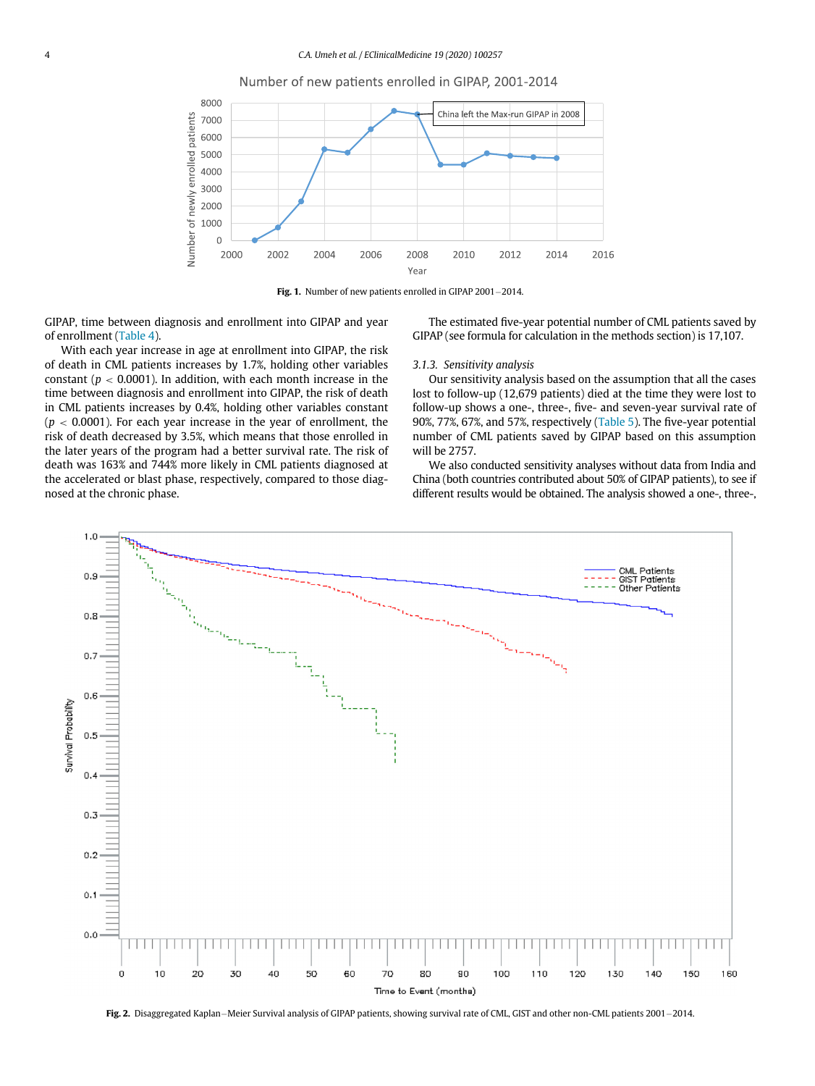

<span id="page-3-0"></span>

Fig. 1. Number of new patients enrolled in GIPAP 2001-2014.

GIPAP, time between diagnosis and enrollment into GIPAP and year of enrollment [\(Table 4\)](#page-4-3).

With each year increase in age at enrollment into GIPAP, the risk of death in CML patients increases by 1.7%, holding other variables constant ( $p < 0.0001$ ). In addition, with each month increase in the time between diagnosis and enrollment into GIPAP, the risk of death in CML patients increases by 0.4%, holding other variables constant  $(p < 0.0001)$ . For each year increase in the year of enrollment, the risk of death decreased by 3.5%, which means that those enrolled in the later years of the program had a better survival rate. The risk of death was 163% and 744% more likely in CML patients diagnosed at the accelerated or blast phase, respectively, compared to those diagnosed at the chronic phase.

The estimated five-year potential number of CML patients saved by GIPAP (see formula for calculation in the methods section) is 17,107.

# 3.1.3. Sensitivity analysis

Our sensitivity analysis based on the assumption that all the cases lost to follow-up (12,679 patients) died at the time they were lost to follow-up shows a one-, three-, five- and seven-year survival rate of 90%, 77%, 67%, and 57%, respectively [\(Table 5\)](#page-5-0). The five-year potential number of CML patients saved by GIPAP based on this assumption will be 2757.

We also conducted sensitivity analyses without data from India and China (both countries contributed about 50% of GIPAP patients), to see if different results would be obtained. The analysis showed a one-, three-,

<span id="page-3-1"></span>

Fig. 2. Disaggregated Kaplan-Meier Survival analysis of GIPAP patients, showing survival rate of CML, GIST and other non-CML patients 2001-2014.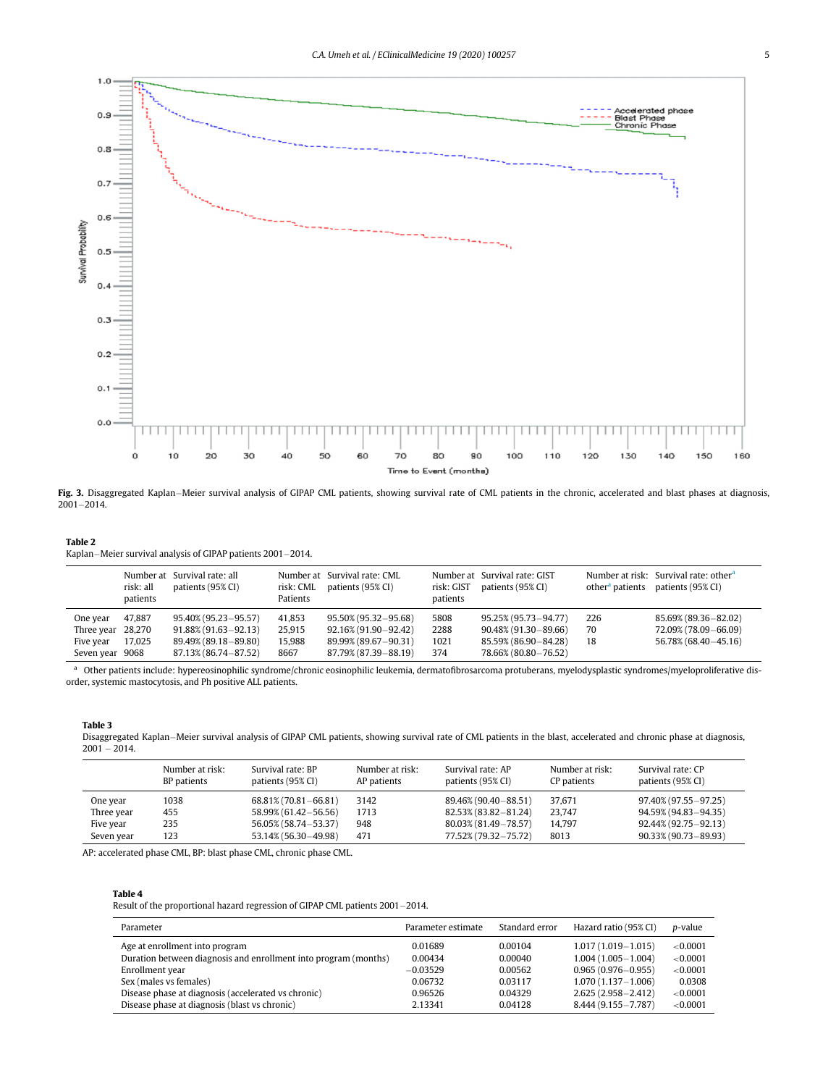<span id="page-4-2"></span>

Fig. 3. Disaggregated Kaplan–Meier survival analysis of GIPAP CML patients, showing survival rate of CML patients in the chronic, accelerated and blast phases at diagnosis,  $2001 - 2014.$ 

# <span id="page-4-0"></span>Table 2

Kaplan-Meier survival analysis of GIPAP patients 2001-2014.

|                   | risk: all<br>patients | Number at Survival rate: all<br>patients (95% CI) | risk: CML<br>Patients | Number at Survival rate: CML<br>patients (95% CI) | risk: GIST<br>patients | Number at Survival rate: GIST<br>patients (95% CI) | other <sup>a</sup> patients | Number at risk: Survival rate: other <sup>a</sup><br>patients (95% CI) |
|-------------------|-----------------------|---------------------------------------------------|-----------------------|---------------------------------------------------|------------------------|----------------------------------------------------|-----------------------------|------------------------------------------------------------------------|
| One year          | 47.887                | $95.40\%$ (95.23 - 95.57)                         | 41.853                | $95.50\%$ (95.32 - 95.68)                         | 5808                   | 95.25% (95.73 - 94.77)                             | 226                         | 85.69% (89.36 - 82.02)                                                 |
| Three year 28,270 |                       | $91.88\%$ (91.63 - 92.13)                         | 25.915                | 92,16% (91,90 - 92,42)                            | 2288                   | $90.48\%$ (91.30 - 89.66)                          | 70                          | 72.09% (78.09-66.09)                                                   |
| Five year         | 17,025                | 89.49% (89.18 - 89.80)                            | 15,988                | 89.99% (89.67 - 90.31)                            | 1021                   | 85.59% (86.90 - 84.28)                             | 18                          | 56.78% (68.40 - 45.16)                                                 |
| Seven year 9068   |                       | 87.13% (86.74 - 87.52)                            | 8667                  | 87.79% (87.39 - 88.19)                            | 374                    | 78.66% (80.80 - 76.52)                             |                             |                                                                        |

<span id="page-4-4"></span>a Other patients include: hypereosinophilic syndrome/chronic eosinophilic leukemia, dermatofibrosarcoma protuberans, myelodysplastic syndromes/myeloproliferative disorder, systemic mastocytosis, and Ph positive ALL patients.

#### <span id="page-4-1"></span>Table 3

Disaggregated Kaplan-Meier survival analysis of GIPAP CML patients, showing survival rate of CML patients in the blast, accelerated and chronic phase at diagnosis,  $2001 - 2014$ .

|            | Number at risk:<br>BP patients | Survival rate: BP<br>patients (95% CI) | Number at risk:<br>AP patients | Survival rate: AP<br>patients (95% CI) | Number at risk:<br>CP patients | Survival rate: CP<br>patients (95% CI) |
|------------|--------------------------------|----------------------------------------|--------------------------------|----------------------------------------|--------------------------------|----------------------------------------|
| One year   | 1038                           | $68.81\%$ (70.81 - 66.81)              | 3142                           | 89.46% (90.40 - 88.51)                 | 37.671                         | 97.40% (97.55-97.25)                   |
| Three year | 455                            | 58.99% (61.42 – 56.56)                 | 1713                           | 82,53% (83,82-81,24)                   | 23.747                         | 94.59% (94.83-94.35)                   |
| Five year  | 235                            | 56.05% (58.74 - 53.37)                 | 948                            | 80.03% (81.49 - 78.57)                 | 14.797                         | 92,44% (92,75 - 92,13)                 |
| Seven year | 123                            | 53.14% (56.30 - 49.98)                 | 471                            | 77.52% (79.32-75.72)                   | 8013                           | $90.33\%$ (90.73 - 89.93)              |

<span id="page-4-3"></span>AP: accelerated phase CML, BP: blast phase CML, chronic phase CML.

#### Table 4

Result of the proportional hazard regression of GIPAP CML patients 2001-2014.

| Parameter                                                       | Parameter estimate | Standard error | Hazard ratio (95% CI)  | p-value  |
|-----------------------------------------------------------------|--------------------|----------------|------------------------|----------|
| Age at enrollment into program                                  | 0.01689            | 0.00104        | $1,017(1,019-1,015)$   | < 0.0001 |
| Duration between diagnosis and enrollment into program (months) | 0.00434            | 0.00040        | $1.004(1.005 - 1.004)$ | < 0.0001 |
| Enrollment year                                                 | $-0.03529$         | 0.00562        | $0.965(0.976 - 0.955)$ | < 0.0001 |
| Sex (males vs females)                                          | 0.06732            | 0.03117        | $1,070(1,137-1,006)$   | 0.0308   |
| Disease phase at diagnosis (accelerated vs chronic)             | 0.96526            | 0.04329        | $2.625(2.958 - 2.412)$ | < 0.0001 |
| Disease phase at diagnosis (blast vs chronic)                   | 2.13341            | 0.04128        | $8.444(9.155 - 7.787)$ | < 0.0001 |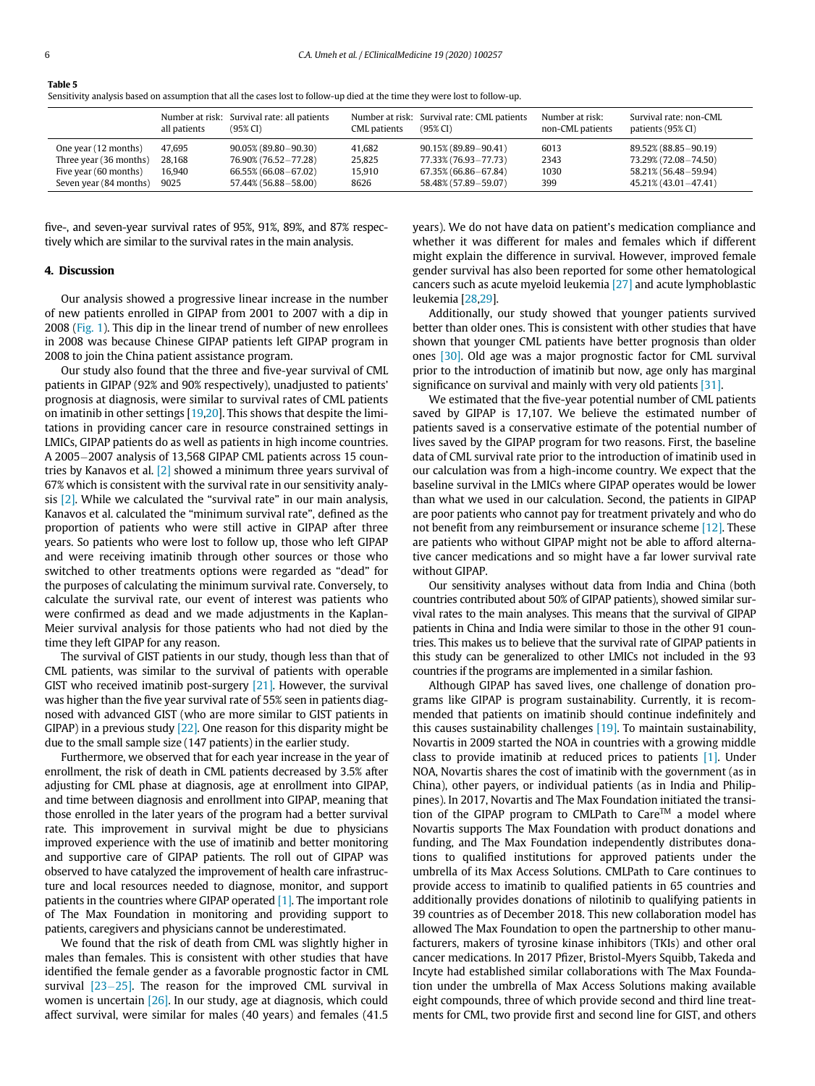<span id="page-5-0"></span>

| Table 5                                                                                                                     |
|-----------------------------------------------------------------------------------------------------------------------------|
| Sensitivity analysis based on assumption that all the cases lost to follow-up died at the time they were lost to follow-up. |

|                        | all patients | Number at risk: Survival rate: all patients<br>$(95\% \text{ CI})$ | CML patients | Number at risk: Survival rate: CML patients<br>$(95\%$ CI) | Number at risk:<br>non-CML patients | Survival rate: non-CML<br>patients (95% CI) |
|------------------------|--------------|--------------------------------------------------------------------|--------------|------------------------------------------------------------|-------------------------------------|---------------------------------------------|
| One year (12 months)   | 47.695       | $90.05\%$ (89.80 - 90.30)                                          | 41.682       | 90.15% (89.89-90.41)                                       | 6013                                | 89.52% (88.85-90.19)                        |
| Three year (36 months) | 28.168       | 76.90% (76.52-77.28)                                               | 25.825       | 77.33% (76.93-77.73)                                       | 2343                                | 73.29% (72.08-74.50)                        |
| Five year (60 months)  | 16.940       | 66.55% (66.08 - 67.02)                                             | 15.910       | 67.35% (66.86-67.84)                                       | 1030                                | 58.21% (56.48 - 59.94)                      |
| Seven year (84 months) | 9025         | 57.44% (56.88 - 58.00)                                             | 8626         | 58,48% (57,89-59,07)                                       | 399                                 | 45.21% (43.01 - 47.41)                      |

five-, and seven-year survival rates of 95%, 91%, 89%, and 87% respectively which are similar to the survival rates in the main analysis.

# 4. Discussion

Our analysis showed a progressive linear increase in the number of new patients enrolled in GIPAP from 2001 to 2007 with a dip in 2008 [\(Fig. 1](#page-3-0)). This dip in the linear trend of number of new enrollees in 2008 was because Chinese GIPAP patients left GIPAP program in 2008 to join the China patient assistance program.

Our study also found that the three and five-year survival of CML patients in GIPAP (92% and 90% respectively), unadjusted to patients' prognosis at diagnosis, were similar to survival rates of CML patients on imatinib in other settings [[19,](#page-6-16)[20\]](#page-6-17). This shows that despite the limitations in providing cancer care in resource constrained settings in LMICs, GIPAP patients do as well as patients in high income countries. A 2005-2007 analysis of 13,568 GIPAP CML patients across 15 countries by Kanavos et al. [\[2\]](#page-6-1) showed a minimum three years survival of 67% which is consistent with the survival rate in our sensitivity analysis [\[2\].](#page-6-1) While we calculated the "survival rate" in our main analysis, Kanavos et al. calculated the "minimum survival rate", defined as the proportion of patients who were still active in GIPAP after three years. So patients who were lost to follow up, those who left GIPAP and were receiving imatinib through other sources or those who switched to other treatments options were regarded as "dead" for the purposes of calculating the minimum survival rate. Conversely, to calculate the survival rate, our event of interest was patients who were confirmed as dead and we made adjustments in the Kaplan-Meier survival analysis for those patients who had not died by the time they left GIPAP for any reason.

The survival of GIST patients in our study, though less than that of CML patients, was similar to the survival of patients with operable GIST who received imatinib post-surgery [\[21\]](#page-6-18). However, the survival was higher than the five year survival rate of 55% seen in patients diagnosed with advanced GIST (who are more similar to GIST patients in GIPAP) in a previous study [\[22\]](#page-6-19). One reason for this disparity might be due to the small sample size (147 patients) in the earlier study.

Furthermore, we observed that for each year increase in the year of enrollment, the risk of death in CML patients decreased by 3.5% after adjusting for CML phase at diagnosis, age at enrollment into GIPAP, and time between diagnosis and enrollment into GIPAP, meaning that those enrolled in the later years of the program had a better survival rate. This improvement in survival might be due to physicians improved experience with the use of imatinib and better monitoring and supportive care of GIPAP patients. The roll out of GIPAP was observed to have catalyzed the improvement of health care infrastructure and local resources needed to diagnose, monitor, and support patients in the countries where GIPAP operated [\[1\]](#page-6-0). The important role of The Max Foundation in monitoring and providing support to patients, caregivers and physicians cannot be underestimated.

We found that the risk of death from CML was slightly higher in males than females. This is consistent with other studies that have identified the female gender as a favorable prognostic factor in CML survival  $[23-25]$  $[23-25]$  $[23-25]$ . The reason for the improved CML survival in women is uncertain [\[26\].](#page-7-0) In our study, age at diagnosis, which could affect survival, were similar for males (40 years) and females (41.5 years). We do not have data on patient's medication compliance and whether it was different for males and females which if different might explain the difference in survival. However, improved female gender survival has also been reported for some other hematological cancers such as acute myeloid leukemia [\[27\]](#page-7-1) and acute lymphoblastic leukemia [[28](#page-7-2),[29\]](#page-7-3).

Additionally, our study showed that younger patients survived better than older ones. This is consistent with other studies that have shown that younger CML patients have better prognosis than older ones [\[30\].](#page-7-4) Old age was a major prognostic factor for CML survival prior to the introduction of imatinib but now, age only has marginal significance on survival and mainly with very old patients [\[31\]](#page-7-5).

We estimated that the five-year potential number of CML patients saved by GIPAP is 17,107. We believe the estimated number of patients saved is a conservative estimate of the potential number of lives saved by the GIPAP program for two reasons. First, the baseline data of CML survival rate prior to the introduction of imatinib used in our calculation was from a high-income country. We expect that the baseline survival in the LMICs where GIPAP operates would be lower than what we used in our calculation. Second, the patients in GIPAP are poor patients who cannot pay for treatment privately and who do not benefit from any reimbursement or insurance scheme [\[12\].](#page-6-21) These are patients who without GIPAP might not be able to afford alternative cancer medications and so might have a far lower survival rate without GIPAP.

Our sensitivity analyses without data from India and China (both countries contributed about 50% of GIPAP patients), showed similar survival rates to the main analyses. This means that the survival of GIPAP patients in China and India were similar to those in the other 91 countries. This makes us to believe that the survival rate of GIPAP patients in this study can be generalized to other LMICs not included in the 93 countries if the programs are implemented in a similar fashion.

Although GIPAP has saved lives, one challenge of donation programs like GIPAP is program sustainability. Currently, it is recommended that patients on imatinib should continue indefinitely and this causes sustainability challenges [\[19\]](#page-6-16). To maintain sustainability, Novartis in 2009 started the NOA in countries with a growing middle class to provide imatinib at reduced prices to patients [\[1\].](#page-6-0) Under NOA, Novartis shares the cost of imatinib with the government (as in China), other payers, or individual patients (as in India and Philippines). In 2017, Novartis and The Max Foundation initiated the transition of the GIPAP program to CMLPath to Care™ a model where Novartis supports The Max Foundation with product donations and funding, and The Max Foundation independently distributes donations to qualified institutions for approved patients under the umbrella of its Max Access Solutions. CMLPath to Care continues to provide access to imatinib to qualified patients in 65 countries and additionally provides donations of nilotinib to qualifying patients in 39 countries as of December 2018. This new collaboration model has allowed The Max Foundation to open the partnership to other manufacturers, makers of tyrosine kinase inhibitors (TKIs) and other oral cancer medications. In 2017 Pfizer, Bristol-Myers Squibb, Takeda and Incyte had established similar collaborations with The Max Foundation under the umbrella of Max Access Solutions making available eight compounds, three of which provide second and third line treatments for CML, two provide first and second line for GIST, and others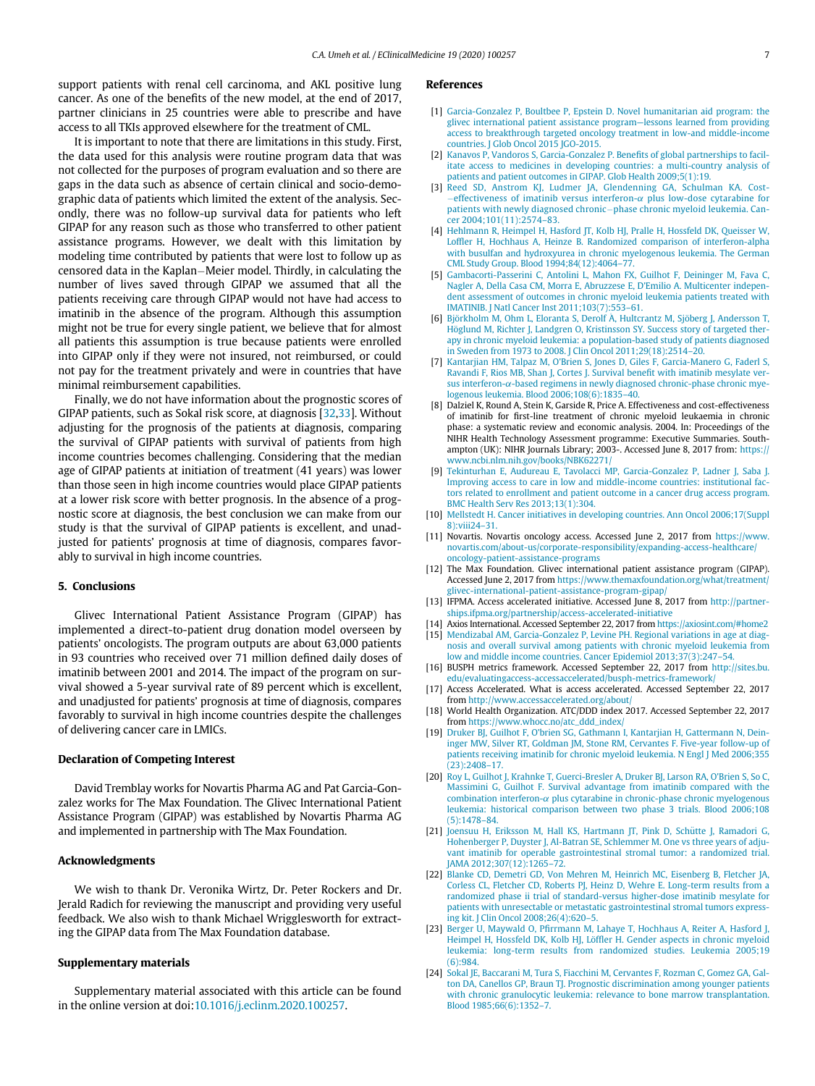<span id="page-6-0"></span>support patients with renal cell carcinoma, and AKL positive lung cancer. As one of the benefits of the new model, at the end of 2017, partner clinicians in 25 countries were able to prescribe and have access to all TKIs approved elsewhere for the treatment of CML.

<span id="page-6-2"></span><span id="page-6-1"></span>It is important to note that there are limitations in this study. First, the data used for this analysis were routine program data that was not collected for the purposes of program evaluation and so there are gaps in the data such as absence of certain clinical and socio-demographic data of patients which limited the extent of the analysis. Secondly, there was no follow-up survival data for patients who left GIPAP for any reason such as those who transferred to other patient assistance programs. However, we dealt with this limitation by modeling time contributed by patients that were lost to follow up as censored data in the Kaplan-Meier model. Thirdly, in calculating the number of lives saved through GIPAP we assumed that all the patients receiving care through GIPAP would not have had access to imatinib in the absence of the program. Although this assumption might not be true for every single patient, we believe that for almost all patients this assumption is true because patients were enrolled into GIPAP only if they were not insured, not reimbursed, or could not pay for the treatment privately and were in countries that have minimal reimbursement capabilities.

<span id="page-6-7"></span><span id="page-6-6"></span><span id="page-6-5"></span><span id="page-6-4"></span><span id="page-6-3"></span>Finally, we do not have information about the prognostic scores of GIPAP patients, such as Sokal risk score, at diagnosis [\[32](#page-7-6)[,33](#page-7-7)]. Without adjusting for the prognosis of the patients at diagnosis, comparing the survival of GIPAP patients with survival of patients from high income countries becomes challenging. Considering that the median age of GIPAP patients at initiation of treatment (41 years) was lower than those seen in high income countries would place GIPAP patients at a lower risk score with better prognosis. In the absence of a prognostic score at diagnosis, the best conclusion we can make from our study is that the survival of GIPAP patients is excellent, and unadjusted for patients' prognosis at time of diagnosis, compares favorably to survival in high income countries.

# <span id="page-6-21"></span><span id="page-6-9"></span><span id="page-6-8"></span>5. Conclusions

<span id="page-6-13"></span><span id="page-6-12"></span><span id="page-6-11"></span><span id="page-6-10"></span>Glivec International Patient Assistance Program (GIPAP) has implemented a direct-to-patient drug donation model overseen by patients' oncologists. The program outputs are about 63,000 patients in 93 countries who received over 71 million defined daily doses of imatinib between 2001 and 2014. The impact of the program on survival showed a 5-year survival rate of 89 percent which is excellent, and unadjusted for patients' prognosis at time of diagnosis, compares favorably to survival in high income countries despite the challenges of delivering cancer care in LMICs.

#### <span id="page-6-16"></span><span id="page-6-15"></span><span id="page-6-14"></span>Declaration of Competing Interest

<span id="page-6-17"></span>David Tremblay works for Novartis Pharma AG and Pat Garcia-Gonzalez works for The Max Foundation. The Glivec International Patient Assistance Program (GIPAP) was established by Novartis Pharma AG and implemented in partnership with The Max Foundation.

# <span id="page-6-19"></span><span id="page-6-18"></span>Acknowledgments

We wish to thank Dr. Veronika Wirtz, Dr. Peter Rockers and Dr. Jerald Radich for reviewing the manuscript and providing very useful feedback. We also wish to thank Michael Wrigglesworth for extracting the GIPAP data from The Max Foundation database.

#### <span id="page-6-20"></span>Supplementary materials

Supplementary material associated with this article can be found in the online version at doi[:10.1016/j.eclinm.2020.100257](https://doi.org/10.1016/j.eclinm.2020.100257).

# References

- [1] [Garcia-Gonzalez P, Boultbee P, Epstein D. Novel humanitarian aid program: the](http://refhub.elsevier.com/S2589-5370(20)30001-8/sbref0001) [glivec international patient assistance program](http://refhub.elsevier.com/S2589-5370(20)30001-8/sbref0001)—lessons learned from providing [access to breakthrough targeted oncology treatment in low-and middle-income](http://refhub.elsevier.com/S2589-5370(20)30001-8/sbref0001) [countries. J Glob Oncol 2015 JGO-2015.](http://refhub.elsevier.com/S2589-5370(20)30001-8/sbref0001)
- [2] [Kanavos P, Vandoros S, Garcia-Gonzalez P. Bene](http://refhub.elsevier.com/S2589-5370(20)30001-8/sbref0002)fits of global partnerships to facil[itate access to medicines in developing countries: a multi-country analysis of](http://refhub.elsevier.com/S2589-5370(20)30001-8/sbref0002) [patients and patient outcomes in GIPAP. Glob Health 2009;5\(1\):19.](http://refhub.elsevier.com/S2589-5370(20)30001-8/sbref0002)
- [3] Reed SD, Anstrom KJ, Ludmer JA, Glendenning GA, Schulman KA, Cost-[effectiveness of imatinib versus interferon-](http://refhub.elsevier.com/S2589-5370(20)30001-8/sbref0003) $\alpha$  [plus low-dose cytarabine for](http://refhub.elsevier.com/S2589-5370(20)30001-8/sbref0003) [patients with newly diagnosed chronic](http://refhub.elsevier.com/S2589-5370(20)30001-8/sbref0003)-[phase chronic myeloid leukemia. Can](http://refhub.elsevier.com/S2589-5370(20)30001-8/sbref0003)[cer 2004;101\(11\):2574](http://refhub.elsevier.com/S2589-5370(20)30001-8/sbref0003)–83.
- [4] [Hehlmann R, Heimpel H, Hasford JT, Kolb HJ, Pralle H, Hossfeld DK, Queisser W,](http://refhub.elsevier.com/S2589-5370(20)30001-8/sbref0004) Loffl[er H, Hochhaus A, Heinze B. Randomized comparison of interferon-alpha](http://refhub.elsevier.com/S2589-5370(20)30001-8/sbref0004) [with busulfan and hydroxyurea in chronic myelogenous leukemia. The German](http://refhub.elsevier.com/S2589-5370(20)30001-8/sbref0004) [CML Study Group. Blood 1994;84\(12\):4064](http://refhub.elsevier.com/S2589-5370(20)30001-8/sbref0004)–77.
- [5] [Gambacorti-Passerini C, Antolini L, Mahon FX, Guilhot F, Deininger M, Fava C,](http://refhub.elsevier.com/S2589-5370(20)30001-8/sbref0005) [Nagler A, Della Casa CM, Morra E, Abruzzese E, D](http://refhub.elsevier.com/S2589-5370(20)30001-8/sbref0005)'Emilio A. Multicenter indepen[dent assessment of outcomes in chronic myeloid leukemia patients treated with](http://refhub.elsevier.com/S2589-5370(20)30001-8/sbref0005) [IMATINIB. J Natl Cancer Inst 2011;103\(7\):553](http://refhub.elsevier.com/S2589-5370(20)30001-8/sbref0005)–61.
- [6] Björkholm M, Ohm L, Eloranta S, Derolf Å, Hultcrantz M, Sjöberg J, Andersson T Höglund M, Richter J, Landgren O, Kristinsson SY. Success story of targeted ther[apy in chronic myeloid leukemia: a population-based study of patients diagnosed](http://refhub.elsevier.com/S2589-5370(20)30001-8/sbref0006) [in Sweden from 1973 to 2008. J Clin Oncol 2011;29\(18\):2514](http://refhub.elsevier.com/S2589-5370(20)30001-8/sbref0006)–20.
- [7] [Kantarjian HM, Talpaz M, O'Brien S, Jones D, Giles F, Garcia-Manero G, Faderl S,](http://refhub.elsevier.com/S2589-5370(20)30001-8/sbref0007) [Ravandi F, Rios MB, Shan J, Cortes J. Survival bene](http://refhub.elsevier.com/S2589-5370(20)30001-8/sbref0007)fit with imatinib mesylate ver[sus interferon-](http://refhub.elsevier.com/S2589-5370(20)30001-8/sbref0007) $\alpha$ [-based regimens in newly diagnosed chronic-phase chronic mye](http://refhub.elsevier.com/S2589-5370(20)30001-8/sbref0007)[logenous leukemia. Blood 2006;108\(6\):1835](http://refhub.elsevier.com/S2589-5370(20)30001-8/sbref0007)–40.
- [8] Dalziel K, Round A, Stein K, Garside R, Price A. Effectiveness and cost-effectiveness of imatinib for first-line treatment of chronic myeloid leukaemia in chronic phase: a systematic review and economic analysis. 2004. In: Proceedings of the NIHR Health Technology Assessment programme: Executive Summaries. Southampton (UK): NIHR Journals Library; 2003-. Accessed June 8, 2017 from: [https://](https://www.ncbi.nlm.nih.gov/books/NBK62271/) [www.ncbi.nlm.nih.gov/books/NBK62271/](https://www.ncbi.nlm.nih.gov/books/NBK62271/)
- [9] [Tekinturhan E, Audureau E, Tavolacci MP, Garcia-Gonzalez P, Ladner J, Saba J.](http://refhub.elsevier.com/S2589-5370(20)30001-8/sbref0008) [Improving access to care in low and middle-income countries: institutional fac](http://refhub.elsevier.com/S2589-5370(20)30001-8/sbref0008)[tors related to enrollment and patient outcome in a cancer drug access program.](http://refhub.elsevier.com/S2589-5370(20)30001-8/sbref0008) [BMC Health Serv Res 2013;13\(1\):304.](http://refhub.elsevier.com/S2589-5370(20)30001-8/sbref0008)
- [10] [Mellstedt H. Cancer initiatives in developing countries. Ann Oncol 2006;17\(Suppl](http://refhub.elsevier.com/S2589-5370(20)30001-8/sbref0009) [8\):viii24](http://refhub.elsevier.com/S2589-5370(20)30001-8/sbref0009)–31.
- [11] Novartis. Novartis oncology access. Accessed June 2, 2017 from [https://www.](https://www.novartis.com/about-us/corporate-responsibility/expanding-access-healthcare/oncology-patient-assistance-programs) [novartis.com/about-us/corporate-responsibility/expanding-access-healthcare/](https://www.novartis.com/about-us/corporate-responsibility/expanding-access-healthcare/oncology-patient-assistance-programs) [oncology-patient-assistance-programs](https://www.novartis.com/about-us/corporate-responsibility/expanding-access-healthcare/oncology-patient-assistance-programs)
- [12] The Max Foundation. Glivec international patient assistance program (GIPAP). Accessed June 2, 2017 from [https://www.themaxfoundation.org/what/treatment/](https://www.themaxfoundation.org/what/treatment/glivec-international-patient-assistance-program-gipap/) [glivec-international-patient-assistance-program-gipap/](https://www.themaxfoundation.org/what/treatment/glivec-international-patient-assistance-program-gipap/)
- [13] IFPMA. Access accelerated initiative. Accessed June 8, 2017 from [http://partner](http://partnerships.ifpma.org/partnership/access-accelerated-initiative)[ships.ifpma.org/partnership/access-accelerated-initiative](http://partnerships.ifpma.org/partnership/access-accelerated-initiative)
- [14] Axios International. Accessed September 22, 2017 from <https://axiosint.com/#home2> [15] [Mendizabal AM, Garcia-Gonzalez P, Levine PH. Regional variations in age at diag](http://refhub.elsevier.com/S2589-5370(20)30001-8/sbref0010)[nosis and overall survival among patients with chronic myeloid leukemia from](http://refhub.elsevier.com/S2589-5370(20)30001-8/sbref0010) [low and middle income countries. Cancer Epidemiol 2013;37\(3\):247](http://refhub.elsevier.com/S2589-5370(20)30001-8/sbref0010)–54.
- [16] BUSPH metrics framework. Accessed September 22, 2017 from [http://sites.bu.](http://sites.bu.edu/evaluatingaccess-accessaccelerated/busph-metrics-framework/) [edu/evaluatingaccess-accessaccelerated/busph-metrics-framework/](http://sites.bu.edu/evaluatingaccess-accessaccelerated/busph-metrics-framework/)
- [17] Access Accelerated. What is access accelerated. Accessed September 22, 2017 from <http://www.accessaccelerated.org/about/>
- [18] World Health Organization. ATC/DDD index 2017. Accessed September 22, 2017 from [https://www.whocc.no/atc\\_ddd\\_index/](https://www.whocc.no/atc_ddd_index/)
- [19] [Druker BJ, Guilhot F, O'brien SG, Gathmann I, Kantarjian H, Gattermann N, Dein](http://refhub.elsevier.com/S2589-5370(20)30001-8/sbref0011)[inger MW, Silver RT, Goldman JM, Stone RM, Cervantes F. Five-year follow-up of](http://refhub.elsevier.com/S2589-5370(20)30001-8/sbref0011) [patients receiving imatinib for chronic myeloid leukemia. N Engl J Med 2006;355](http://refhub.elsevier.com/S2589-5370(20)30001-8/sbref0011) [\(23\):2408](http://refhub.elsevier.com/S2589-5370(20)30001-8/sbref0011)–17.
- [20] [Roy L, Guilhot J, Krahnke T, Guerci-Bresler A, Druker BJ, Larson RA, O'Brien S, So C,](http://refhub.elsevier.com/S2589-5370(20)30001-8/sbref0012) [Massimini G, Guilhot F. Survival advantage from imatinib compared with the](http://refhub.elsevier.com/S2589-5370(20)30001-8/sbref0012) [combination interferon-](http://refhub.elsevier.com/S2589-5370(20)30001-8/sbref0012) $\alpha$  [plus cytarabine in chronic-phase chronic myelogenous](http://refhub.elsevier.com/S2589-5370(20)30001-8/sbref0012) [leukemia: historical comparison between two phase 3 trials. Blood 2006;108](http://refhub.elsevier.com/S2589-5370(20)30001-8/sbref0012) [\(5\):1478](http://refhub.elsevier.com/S2589-5370(20)30001-8/sbref0012)–84.
- [21] Joensuu H, Eriksson M, Hall KS, Hartmann JT, Pink D, Schütte J, Ramadori G, [Hohenberger P, Duyster J, Al-Batran SE, Schlemmer M. One vs three years of adju](http://refhub.elsevier.com/S2589-5370(20)30001-8/sbref0013)[vant imatinib for operable gastrointestinal stromal tumor: a randomized trial.](http://refhub.elsevier.com/S2589-5370(20)30001-8/sbref0013) [JAMA 2012;307\(12\):1265](http://refhub.elsevier.com/S2589-5370(20)30001-8/sbref0013)–72.
- [22] [Blanke CD, Demetri GD, Von Mehren M, Heinrich MC, Eisenberg B, Fletcher JA,](http://refhub.elsevier.com/S2589-5370(20)30001-8/sbref0014) [Corless CL, Fletcher CD, Roberts PJ, Heinz D, Wehre E. Long-term results from a](http://refhub.elsevier.com/S2589-5370(20)30001-8/sbref0014) [randomized phase ii trial of standard-versus higher-dose imatinib mesylate for](http://refhub.elsevier.com/S2589-5370(20)30001-8/sbref0014) [patients with unresectable or metastatic gastrointestinal stromal tumors express](http://refhub.elsevier.com/S2589-5370(20)30001-8/sbref0014)[ing kit. J Clin Oncol 2008;26\(4\):620](http://refhub.elsevier.com/S2589-5370(20)30001-8/sbref0014)–5.
- [23] Berger U, Maywald O, Pfi[rrmann M, Lahaye T, Hochhaus A, Reiter A, Hasford J,](http://refhub.elsevier.com/S2589-5370(20)30001-8/sbref0015) [Heimpel H, Hossfeld DK, Kolb HJ, L](http://refhub.elsevier.com/S2589-5370(20)30001-8/sbref0015)öffl[er H. Gender aspects in chronic myeloid](http://refhub.elsevier.com/S2589-5370(20)30001-8/sbref0015) [leukemia: long-term results from randomized studies. Leukemia 2005;19](http://refhub.elsevier.com/S2589-5370(20)30001-8/sbref0015) [\(6\):984.](http://refhub.elsevier.com/S2589-5370(20)30001-8/sbref0015)
- [24] [Sokal JE, Baccarani M, Tura S, Fiacchini M, Cervantes F, Rozman C, Gomez GA, Gal](http://refhub.elsevier.com/S2589-5370(20)30001-8/sbref0016)[ton DA, Canellos GP, Braun TJ. Prognostic discrimination among younger patients](http://refhub.elsevier.com/S2589-5370(20)30001-8/sbref0016) [with chronic granulocytic leukemia: relevance to bone marrow transplantation.](http://refhub.elsevier.com/S2589-5370(20)30001-8/sbref0016) [Blood 1985;66\(6\):1352](http://refhub.elsevier.com/S2589-5370(20)30001-8/sbref0016)–7.